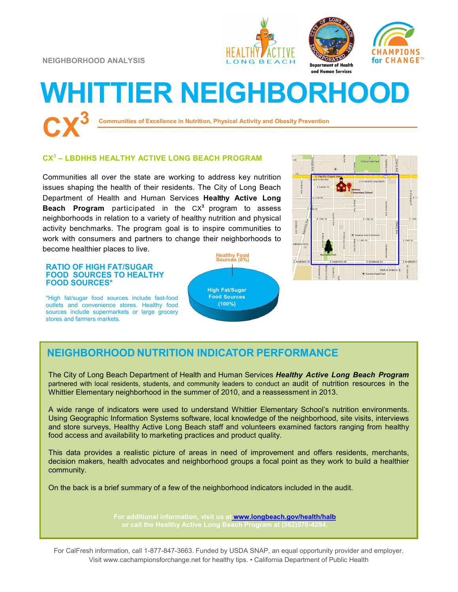**NEIGHBORHOOD ANALYSIS**





CHAMPIONS

for CHANGE™

# **WHITTIER NEIGHBORHOOD CX<sup>3</sup>**

**Communities of Excellence in Nutrition, Physical Activity and Obesity Prevention**

## **CX 3 – LBDHHS HEALTHY ACTIVE LONG BEACH PROGRAM**

Communities all over the state are working to address key nutrition issues shaping the health of their residents. The City of Long Beach Department of Health and Human Services **Healthy Active Long Beach Program** participated in the CX**<sup>3</sup>** program to assess neighborhoods in relation to a variety of healthy nutrition and physical activity benchmarks. The program goal is to inspire communities to work with consumers and partners to change their neighborhoods to become healthier places to live.

#### **RATIO OF HIGH FAT/SUGAR FOOD SOURCES TO HEALTHY FOOD SOURCES\***

\*High fat/sugar food sources include fast-food outlets and convenience stores. Healthy food sources include supermarkets or large grocery stores and farmers markets.





## **NEIGHBORHOOD NUTRITION INDICATOR PERFORMANCE**

The City of Long Beach Department of Health and Human Services *Healthy Active Long Beach Program*  partnered with local residents, students, and community leaders to conduct an audit of nutrition resources in the Whittier Elementary neighborhood in the summer of 2010, and a reassessment in 2013.

A wide range of indicators were used to understand Whittier Elementary School's nutrition environments. Using Geographic Information Systems software, local knowledge of the neighborhood, site visits, interviews and store surveys, Healthy Active Long Beach staff and volunteers examined factors ranging from healthy food access and availability to marketing practices and product quality.

This data provides a realistic picture of areas in need of improvement and offers residents, merchants, decision makers, health advocates and neighborhood groups a focal point as they work to build a healthier community.

On the back is a brief summary of a few of the neighborhood indicators included in the audit.

**For additional information, visit us at [www.longbeach.gov/health/halb](http://%20www.longbeach.gov/health%20)**

For CalFresh information, call 1-877-847-3663. Funded by USDA SNAP, an equal opportunity provider and employer. Visit www.cachampionsforchange.net for healthy tips. • California Department of Public Health